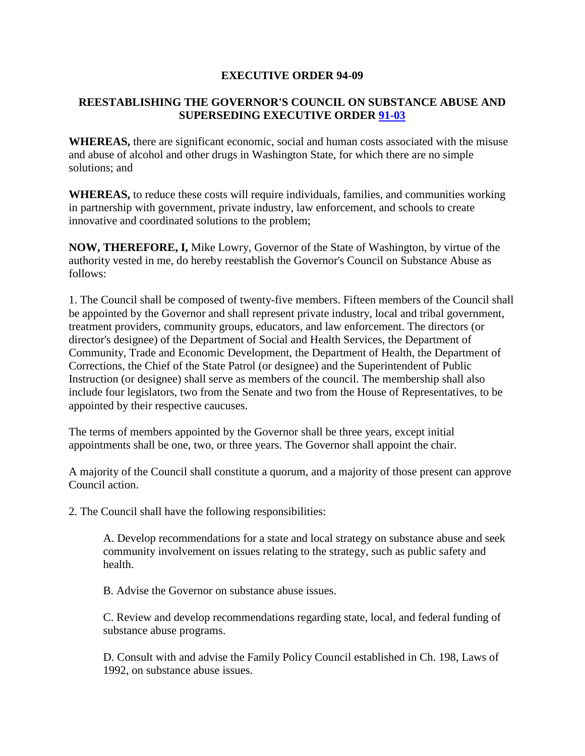## **EXECUTIVE ORDER 94-09**

## **REESTABLISHING THE GOVERNOR'S COUNCIL ON SUBSTANCE ABUSE AND SUPERSEDING EXECUTIVE ORDER [91-03](http://www.governor.wa.gov/office/execorders/eoarchive/eo91-03.htm)**

**WHEREAS,** there are significant economic, social and human costs associated with the misuse and abuse of alcohol and other drugs in Washington State, for which there are no simple solutions; and

**WHEREAS,** to reduce these costs will require individuals, families, and communities working in partnership with government, private industry, law enforcement, and schools to create innovative and coordinated solutions to the problem;

**NOW, THEREFORE, I,** Mike Lowry, Governor of the State of Washington, by virtue of the authority vested in me, do hereby reestablish the Governor's Council on Substance Abuse as follows:

1. The Council shall be composed of twenty-five members. Fifteen members of the Council shall be appointed by the Governor and shall represent private industry, local and tribal government, treatment providers, community groups, educators, and law enforcement. The directors (or director's designee) of the Department of Social and Health Services, the Department of Community, Trade and Economic Development, the Department of Health, the Department of Corrections, the Chief of the State Patrol (or designee) and the Superintendent of Public Instruction (or designee) shall serve as members of the council. The membership shall also include four legislators, two from the Senate and two from the House of Representatives, to be appointed by their respective caucuses.

The terms of members appointed by the Governor shall be three years, except initial appointments shall be one, two, or three years. The Governor shall appoint the chair.

A majority of the Council shall constitute a quorum, and a majority of those present can approve Council action.

2. The Council shall have the following responsibilities:

A. Develop recommendations for a state and local strategy on substance abuse and seek community involvement on issues relating to the strategy, such as public safety and health.

B. Advise the Governor on substance abuse issues.

C. Review and develop recommendations regarding state, local, and federal funding of substance abuse programs.

D. Consult with and advise the Family Policy Council established in Ch. 198, Laws of 1992, on substance abuse issues.